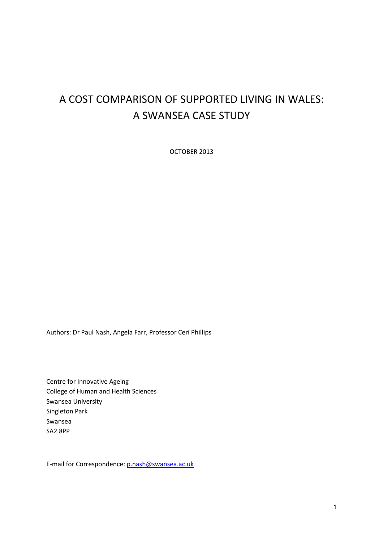# A COST COMPARISON OF SUPPORTED LIVING IN WALES: A SWANSEA CASE STUDY

OCTOBER 2013

Authors: Dr Paul Nash, Angela Farr, Professor Ceri Phillips

Centre for Innovative Ageing College of Human and Health Sciences Swansea University Singleton Park Swansea SA2 8PP

E-mail for Correspondence: p.nash@swansea.ac.uk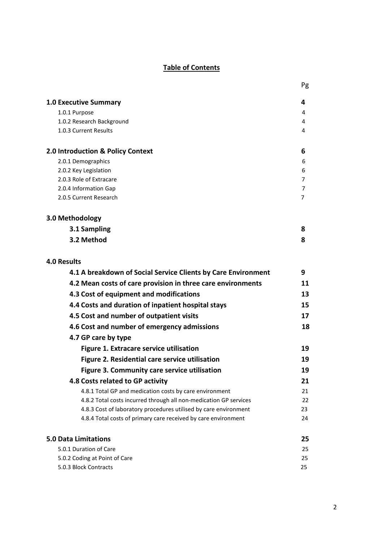## Table of Contents

Pg and the contract of the contract of the contract of the contract of the contract of the contract of the contract of the contract of the contract of the contract of the contract of the contract of the contract of the con

| <b>1.0 Executive Summary</b>                                      | 4  |
|-------------------------------------------------------------------|----|
| 1.0.1 Purpose                                                     | 4  |
| 1.0.2 Research Background                                         | 4  |
| 1.0.3 Current Results                                             | 4  |
| 2.0 Introduction & Policy Context                                 | 6  |
| 2.0.1 Demographics                                                | 6  |
| 2.0.2 Key Legislation                                             | 6  |
| 2.0.3 Role of Extracare                                           | 7  |
| 2.0.4 Information Gap                                             | 7  |
| 2.0.5 Current Research                                            | 7  |
| 3.0 Methodology                                                   |    |
| 3.1 Sampling                                                      | 8  |
| 3.2 Method                                                        | 8  |
| <b>4.0 Results</b>                                                |    |
| 4.1 A breakdown of Social Service Clients by Care Environment     | 9  |
| 4.2 Mean costs of care provision in three care environments       | 11 |
| 4.3 Cost of equipment and modifications                           | 13 |
| 4.4 Costs and duration of inpatient hospital stays                | 15 |
| 4.5 Cost and number of outpatient visits                          | 17 |
| 4.6 Cost and number of emergency admissions                       | 18 |
| 4.7 GP care by type                                               |    |
| Figure 1. Extracare service utilisation                           | 19 |
| Figure 2. Residential care service utilisation                    | 19 |
| Figure 3. Community care service utilisation                      | 19 |
| 4.8 Costs related to GP activity                                  | 21 |
| 4.8.1 Total GP and medication costs by care environment           | 21 |
| 4.8.2 Total costs incurred through all non-medication GP services | 22 |
| 4.8.3 Cost of laboratory procedures utilised by care environment  | 23 |
| 4.8.4 Total costs of primary care received by care environment    | 24 |
| <b>5.0 Data Limitations</b>                                       | 25 |
| 5.0.1 Duration of Care                                            | 25 |
| 5.0.2 Coding at Point of Care                                     | 25 |
| 5.0.3 Block Contracts                                             | 25 |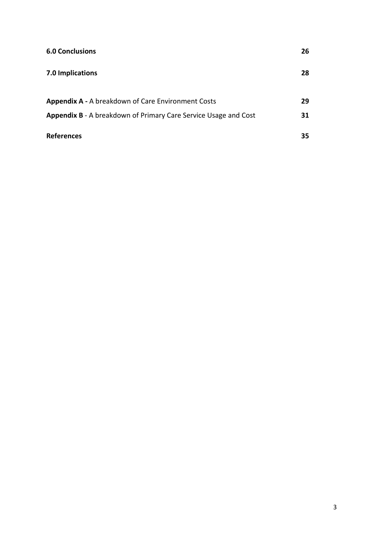| <b>6.0 Conclusions</b>                                          | 26 |
|-----------------------------------------------------------------|----|
| 7.0 Implications                                                | 28 |
| <b>Appendix A - A breakdown of Care Environment Costs</b>       | 29 |
| Appendix B - A breakdown of Primary Care Service Usage and Cost | 31 |
| <b>References</b>                                               | 35 |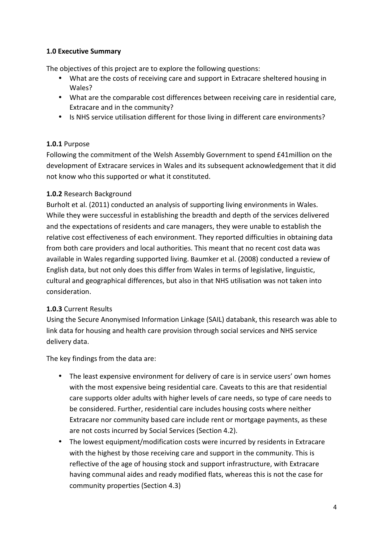## 1.0 Executive Summary

The objectives of this project are to explore the following questions:

- What are the costs of receiving care and support in Extracare sheltered housing in Wales?
- What are the comparable cost differences between receiving care in residential care, Extracare and in the community?
- Is NHS service utilisation different for those living in different care environments?

## 1.0.1 Purpose

Following the commitment of the Welsh Assembly Government to spend £41million on the development of Extracare services in Wales and its subsequent acknowledgement that it did not know who this supported or what it constituted.

## 1.0.2 Research Background

Burholt et al. (2011) conducted an analysis of supporting living environments in Wales. While they were successful in establishing the breadth and depth of the services delivered and the expectations of residents and care managers, they were unable to establish the relative cost effectiveness of each environment. They reported difficulties in obtaining data from both care providers and local authorities. This meant that no recent cost data was available in Wales regarding supported living. Baumker et al. (2008) conducted a review of English data, but not only does this differ from Wales in terms of legislative, linguistic, cultural and geographical differences, but also in that NHS utilisation was not taken into consideration.

#### 1.0.3 Current Results

Using the Secure Anonymised Information Linkage (SAIL) databank, this research was able to link data for housing and health care provision through social services and NHS service delivery data.

The key findings from the data are:

- The least expensive environment for delivery of care is in service users' own homes with the most expensive being residential care. Caveats to this are that residential care supports older adults with higher levels of care needs, so type of care needs to be considered. Further, residential care includes housing costs where neither Extracare nor community based care include rent or mortgage payments, as these are not costs incurred by Social Services (Section 4.2).
- The lowest equipment/modification costs were incurred by residents in Extracare with the highest by those receiving care and support in the community. This is reflective of the age of housing stock and support infrastructure, with Extracare having communal aides and ready modified flats, whereas this is not the case for community properties (Section 4.3)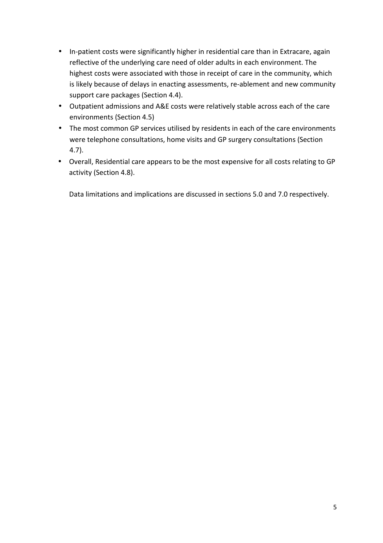- In-patient costs were significantly higher in residential care than in Extracare, again reflective of the underlying care need of older adults in each environment. The highest costs were associated with those in receipt of care in the community, which is likely because of delays in enacting assessments, re-ablement and new community support care packages (Section 4.4).
- Outpatient admissions and A&E costs were relatively stable across each of the care environments (Section 4.5)
- The most common GP services utilised by residents in each of the care environments were telephone consultations, home visits and GP surgery consultations (Section 4.7).
- Overall, Residential care appears to be the most expensive for all costs relating to GP activity (Section 4.8).

Data limitations and implications are discussed in sections 5.0 and 7.0 respectively.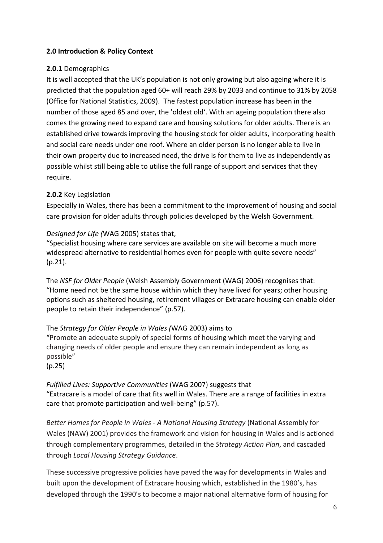## 2.0 Introduction & Policy Context

## 2.0.1 Demographics

It is well accepted that the UK's population is not only growing but also ageing where it is predicted that the population aged 60+ will reach 29% by 2033 and continue to 31% by 2058 (Office for National Statistics, 2009). The fastest population increase has been in the number of those aged 85 and over, the 'oldest old'. With an ageing population there also comes the growing need to expand care and housing solutions for older adults. There is an established drive towards improving the housing stock for older adults, incorporating health and social care needs under one roof. Where an older person is no longer able to live in their own property due to increased need, the drive is for them to live as independently as possible whilst still being able to utilise the full range of support and services that they require.

## 2.0.2 Key Legislation

Especially in Wales, there has been a commitment to the improvement of housing and social care provision for older adults through policies developed by the Welsh Government.

## Designed for Life (WAG 2005) states that,

"Specialist housing where care services are available on site will become a much more widespread alternative to residential homes even for people with quite severe needs" (p.21).

The NSF for Older People (Welsh Assembly Government (WAG) 2006) recognises that: "Home need not be the same house within which they have lived for years; other housing options such as sheltered housing, retirement villages or Extracare housing can enable older people to retain their independence" (p.57).

## The Strategy for Older People in Wales (WAG 2003) aims to

"Promote an adequate supply of special forms of housing which meet the varying and changing needs of older people and ensure they can remain independent as long as possible"

#### (p.25)

Fulfilled Lives: Supportive Communities (WAG 2007) suggests that "Extracare is a model of care that fits well in Wales. There are a range of facilities in extra care that promote participation and well-being" (p.57).

Better Homes for People in Wales - A National Housing Strategy (National Assembly for Wales (NAW) 2001) provides the framework and vision for housing in Wales and is actioned through complementary programmes, detailed in the Strategy Action Plan, and cascaded through Local Housing Strategy Guidance.

These successive progressive policies have paved the way for developments in Wales and built upon the development of Extracare housing which, established in the 1980's, has developed through the 1990's to become a major national alternative form of housing for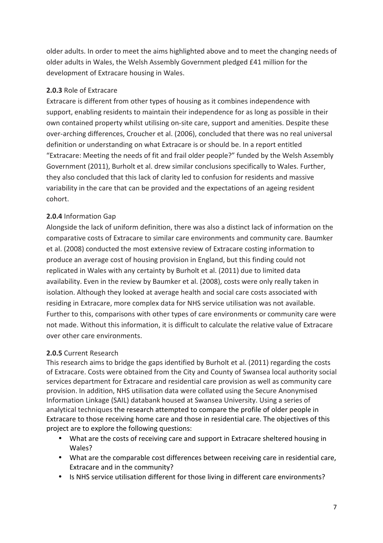older adults. In order to meet the aims highlighted above and to meet the changing needs of older adults in Wales, the Welsh Assembly Government pledged £41 million for the development of Extracare housing in Wales.

## 2.0.3 Role of Extracare

Extracare is different from other types of housing as it combines independence with support, enabling residents to maintain their independence for as long as possible in their own contained property whilst utilising on-site care, support and amenities. Despite these over-arching differences, Croucher et al. (2006), concluded that there was no real universal definition or understanding on what Extracare is or should be. In a report entitled "Extracare: Meeting the needs of fit and frail older people?" funded by the Welsh Assembly Government (2011), Burholt et al. drew similar conclusions specifically to Wales. Further, they also concluded that this lack of clarity led to confusion for residents and massive variability in the care that can be provided and the expectations of an ageing resident cohort.

## 2.0.4 Information Gap

Alongside the lack of uniform definition, there was also a distinct lack of information on the comparative costs of Extracare to similar care environments and community care. Baumker et al. (2008) conducted the most extensive review of Extracare costing information to produce an average cost of housing provision in England, but this finding could not replicated in Wales with any certainty by Burholt et al. (2011) due to limited data availability. Even in the review by Baumker et al. (2008), costs were only really taken in isolation. Although they looked at average health and social care costs associated with residing in Extracare, more complex data for NHS service utilisation was not available. Further to this, comparisons with other types of care environments or community care were not made. Without this information, it is difficult to calculate the relative value of Extracare over other care environments.

#### 2.0.5 Current Research

This research aims to bridge the gaps identified by Burholt et al. (2011) regarding the costs of Extracare. Costs were obtained from the City and County of Swansea local authority social services department for Extracare and residential care provision as well as community care provision. In addition, NHS utilisation data were collated using the Secure Anonymised Information Linkage (SAIL) databank housed at Swansea University. Using a series of analytical techniques the research attempted to compare the profile of older people in Extracare to those receiving home care and those in residential care. The objectives of this project are to explore the following questions:

- What are the costs of receiving care and support in Extracare sheltered housing in Wales?
- What are the comparable cost differences between receiving care in residential care, Extracare and in the community?
- Is NHS service utilisation different for those living in different care environments?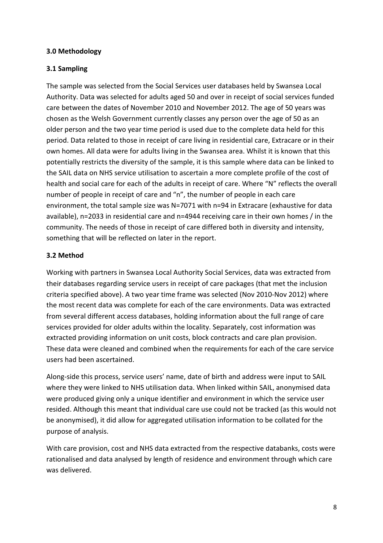#### 3.0 Methodology

## 3.1 Sampling

The sample was selected from the Social Services user databases held by Swansea Local Authority. Data was selected for adults aged 50 and over in receipt of social services funded care between the dates of November 2010 and November 2012. The age of 50 years was chosen as the Welsh Government currently classes any person over the age of 50 as an older person and the two year time period is used due to the complete data held for this period. Data related to those in receipt of care living in residential care, Extracare or in their own homes. All data were for adults living in the Swansea area. Whilst it is known that this potentially restricts the diversity of the sample, it is this sample where data can be linked to the SAIL data on NHS service utilisation to ascertain a more complete profile of the cost of health and social care for each of the adults in receipt of care. Where "N" reflects the overall number of people in receipt of care and "n", the number of people in each care environment, the total sample size was N=7071 with n=94 in Extracare (exhaustive for data available), n=2033 in residential care and n=4944 receiving care in their own homes / in the community. The needs of those in receipt of care differed both in diversity and intensity, something that will be reflected on later in the report.

## 3.2 Method

Working with partners in Swansea Local Authority Social Services, data was extracted from their databases regarding service users in receipt of care packages (that met the inclusion criteria specified above). A two year time frame was selected (Nov 2010-Nov 2012) where the most recent data was complete for each of the care environments. Data was extracted from several different access databases, holding information about the full range of care services provided for older adults within the locality. Separately, cost information was extracted providing information on unit costs, block contracts and care plan provision. These data were cleaned and combined when the requirements for each of the care service users had been ascertained.

Along-side this process, service users' name, date of birth and address were input to SAIL where they were linked to NHS utilisation data. When linked within SAIL, anonymised data were produced giving only a unique identifier and environment in which the service user resided. Although this meant that individual care use could not be tracked (as this would not be anonymised), it did allow for aggregated utilisation information to be collated for the purpose of analysis.

With care provision, cost and NHS data extracted from the respective databanks, costs were rationalised and data analysed by length of residence and environment through which care was delivered.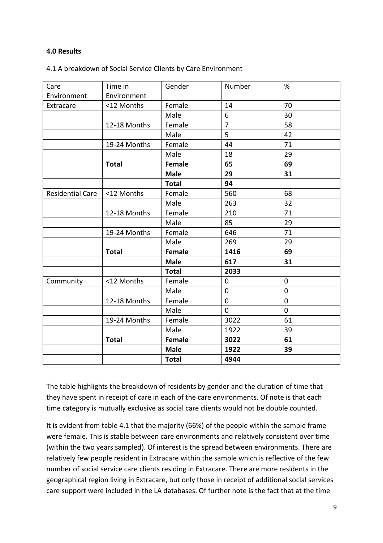#### 4.0 Results

#### 4.1 A breakdown of Social Service Clients by Care Environment

|                         | Time in      | Gender        | Number         | %              |
|-------------------------|--------------|---------------|----------------|----------------|
| Care                    |              |               |                |                |
| Environment             | Environment  |               |                |                |
| Extracare               | <12 Months   | Female        | 14             | 70             |
|                         |              | Male          | 6              | 30             |
|                         | 12-18 Months | Female        | $\overline{7}$ | 58             |
|                         |              | Male          | 5              | 42             |
|                         | 19-24 Months | Female        | 44             | 71             |
|                         |              | Male          | 18             | 29             |
|                         | <b>Total</b> | <b>Female</b> | 65             | 69             |
|                         |              | <b>Male</b>   | 29             | 31             |
|                         |              | <b>Total</b>  | 94             |                |
| <b>Residential Care</b> | <12 Months   | Female        | 560            | 68             |
|                         |              | Male          | 263            | 32             |
|                         | 12-18 Months | Female        | 210            | 71             |
|                         |              | Male          | 85             | 29             |
|                         | 19-24 Months | Female        | 646            | 71             |
|                         |              | Male          | 269            | 29             |
|                         | <b>Total</b> | <b>Female</b> | 1416           | 69             |
|                         |              | <b>Male</b>   | 617            | 31             |
|                         |              | <b>Total</b>  | 2033           |                |
| Community               | <12 Months   | Female        | $\pmb{0}$      | $\mathbf 0$    |
|                         |              | Male          | $\mathbf 0$    | $\mathbf 0$    |
|                         | 12-18 Months | Female        | $\mathbf 0$    | $\overline{0}$ |
|                         |              | Male          | $\mathbf 0$    | 0              |
|                         | 19-24 Months | Female        | 3022           | 61             |
|                         |              | Male          | 1922           | 39             |
|                         | <b>Total</b> | Female        | 3022           | 61             |
|                         |              | <b>Male</b>   | 1922           | 39             |
|                         |              | <b>Total</b>  | 4944           |                |

The table highlights the breakdown of residents by gender and the duration of time that they have spent in receipt of care in each of the care environments. Of note is that each time category is mutually exclusive as social care clients would not be double counted.

It is evident from table 4.1 that the majority (66%) of the people within the sample frame were female. This is stable between care environments and relatively consistent over time (within the two years sampled). Of interest is the spread between environments. There are relatively few people resident in Extracare within the sample which is reflective of the few number of social service care clients residing in Extracare. There are more residents in the geographical region living in Extracare, but only those in receipt of additional social services care support were included in the LA databases. Of further note is the fact that at the time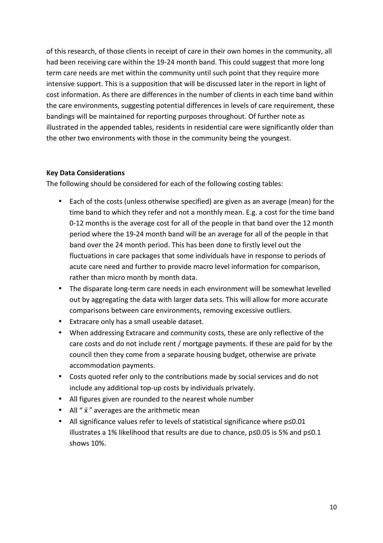of this research, of those clients in receipt of care in their own homes in the community, all had been receiving care within the 19-24 month band. This could suggest that more long term care needs are met within the community until such point that they require more intensive support. This is a supposition that will be discussed later in the report in light of cost information. As there are differences in the number of clients in each time band within the care environments, suggesting potential differences in levels of care requirement, these bandings will be maintained for reporting purposes throughout. Of further note as illustrated in the appended tables, residents in residential care were significantly older than the other two environments with those in the community being the youngest.

#### Key Data Considerations

The following should be considered for each of the following costing tables:

- Each of the costs (unless otherwise specified) are given as an average (mean) for the time band to which they refer and not a monthly mean. E.g. a cost for the time band 0-12 months is the average cost for all of the people in that band over the 12 month period where the 19-24 month band will be an average for all of the people in that band over the 24 month period. This has been done to firstly level out the fluctuations in care packages that some individuals have in response to periods of acute care need and further to provide macro level information for comparison, rather than micro month by month data.
- The disparate long-term care needs in each environment will be somewhat levelled out by aggregating the data with larger data sets. This will allow for more accurate comparisons between care environments, removing excessive outliers.
- Extracare only has a small useable dataset.
- When addressing Extracare and community costs, these are only reflective of the care costs and do not include rent / mortgage payments. If these are paid for by the council then they come from a separate housing budget, otherwise are private accommodation payments.
- Costs quoted refer only to the contributions made by social services and do not include any additional top-up costs by individuals privately.
- All figures given are rounded to the nearest whole number
- All " $\bar{x}$ " averages are the arithmetic mean
- All significance values refer to levels of statistical significance where p≤0.01 illustrates a 1% likelihood that results are due to chance, p≤0.05 is 5% and p≤0.1 shows 10%.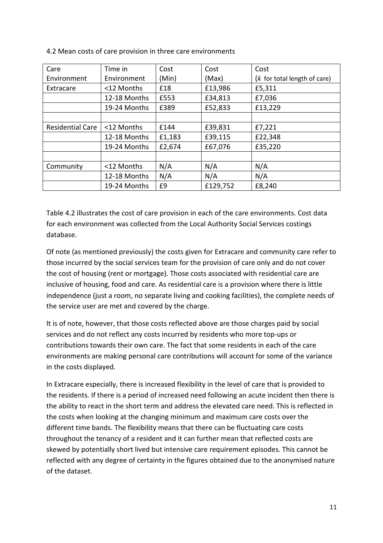| Care                    | Time in      | Cost   | Cost     | Cost                                 |
|-------------------------|--------------|--------|----------|--------------------------------------|
| Environment             | Environment  | (Min)  | (Max)    | $(\bar{x}$ for total length of care) |
| Extracare               | <12 Months   | £18    | £13,986  | £5,311                               |
|                         | 12-18 Months | £553   | £34,813  | £7,036                               |
|                         | 19-24 Months | £389   | £52,833  | £13,229                              |
|                         |              |        |          |                                      |
| <b>Residential Care</b> | <12 Months   | £144   | £39,831  | £7,221                               |
|                         | 12-18 Months | £1,183 | £39,115  | £22,348                              |
|                         | 19-24 Months | £2,674 | £67,076  | £35,220                              |
|                         |              |        |          |                                      |
| Community               | <12 Months   | N/A    | N/A      | N/A                                  |
|                         | 12-18 Months | N/A    | N/A      | N/A                                  |
|                         | 19-24 Months | £9     | £129,752 | £8,240                               |

4.2 Mean costs of care provision in three care environments

Table 4.2 illustrates the cost of care provision in each of the care environments. Cost data for each environment was collected from the Local Authority Social Services costings database.

Of note (as mentioned previously) the costs given for Extracare and community care refer to those incurred by the social services team for the provision of care only and do not cover the cost of housing (rent or mortgage). Those costs associated with residential care are inclusive of housing, food and care. As residential care is a provision where there is little independence (just a room, no separate living and cooking facilities), the complete needs of the service user are met and covered by the charge.

It is of note, however, that those costs reflected above are those charges paid by social services and do not reflect any costs incurred by residents who more top-ups or contributions towards their own care. The fact that some residents in each of the care environments are making personal care contributions will account for some of the variance in the costs displayed.

In Extracare especially, there is increased flexibility in the level of care that is provided to the residents. If there is a period of increased need following an acute incident then there is the ability to react in the short term and address the elevated care need. This is reflected in the costs when looking at the changing minimum and maximum care costs over the different time bands. The flexibility means that there can be fluctuating care costs throughout the tenancy of a resident and it can further mean that reflected costs are skewed by potentially short lived but intensive care requirement episodes. This cannot be reflected with any degree of certainty in the figures obtained due to the anonymised nature of the dataset.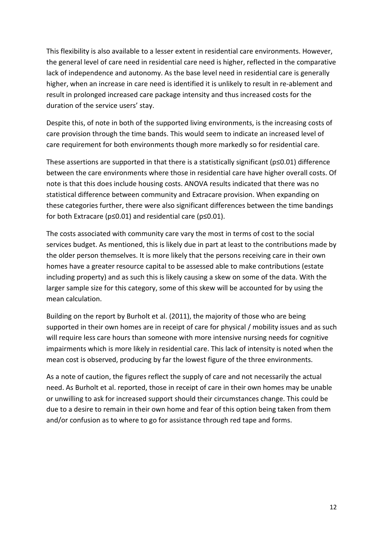This flexibility is also available to a lesser extent in residential care environments. However, the general level of care need in residential care need is higher, reflected in the comparative lack of independence and autonomy. As the base level need in residential care is generally higher, when an increase in care need is identified it is unlikely to result in re-ablement and result in prolonged increased care package intensity and thus increased costs for the duration of the service users' stay.

Despite this, of note in both of the supported living environments, is the increasing costs of care provision through the time bands. This would seem to indicate an increased level of care requirement for both environments though more markedly so for residential care.

These assertions are supported in that there is a statistically significant (p≤0.01) difference between the care environments where those in residential care have higher overall costs. Of note is that this does include housing costs. ANOVA results indicated that there was no statistical difference between community and Extracare provision. When expanding on these categories further, there were also significant differences between the time bandings for both Extracare (p≤0.01) and residential care (p≤0.01).

The costs associated with community care vary the most in terms of cost to the social services budget. As mentioned, this is likely due in part at least to the contributions made by the older person themselves. It is more likely that the persons receiving care in their own homes have a greater resource capital to be assessed able to make contributions (estate including property) and as such this is likely causing a skew on some of the data. With the larger sample size for this category, some of this skew will be accounted for by using the mean calculation.

Building on the report by Burholt et al. (2011), the majority of those who are being supported in their own homes are in receipt of care for physical / mobility issues and as such will require less care hours than someone with more intensive nursing needs for cognitive impairments which is more likely in residential care. This lack of intensity is noted when the mean cost is observed, producing by far the lowest figure of the three environments.

As a note of caution, the figures reflect the supply of care and not necessarily the actual need. As Burholt et al. reported, those in receipt of care in their own homes may be unable or unwilling to ask for increased support should their circumstances change. This could be due to a desire to remain in their own home and fear of this option being taken from them and/or confusion as to where to go for assistance through red tape and forms.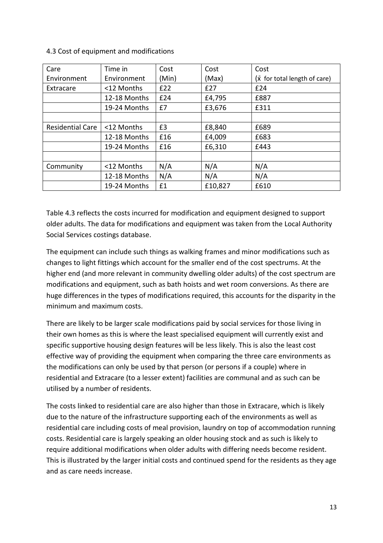4.3 Cost of equipment and modifications

| Care                    | Time in      | Cost  | Cost    | Cost                                 |
|-------------------------|--------------|-------|---------|--------------------------------------|
| Environment             | Environment  | (Min) | (Max)   | $(\bar{x}$ for total length of care) |
| Extracare               | <12 Months   | £22   | £27     | £24                                  |
|                         | 12-18 Months | £24   | £4,795  | £887                                 |
|                         | 19-24 Months | £7    | £3,676  | £311                                 |
|                         |              |       |         |                                      |
| <b>Residential Care</b> | <12 Months   | £3    | £8,840  | £689                                 |
|                         | 12-18 Months | £16   | £4,009  | £683                                 |
|                         | 19-24 Months | £16   | £6,310  | £443                                 |
|                         |              |       |         |                                      |
| Community               | <12 Months   | N/A   | N/A     | N/A                                  |
|                         | 12-18 Months | N/A   | N/A     | N/A                                  |
|                         | 19-24 Months | £1    | £10,827 | £610                                 |

Table 4.3 reflects the costs incurred for modification and equipment designed to support older adults. The data for modifications and equipment was taken from the Local Authority Social Services costings database.

The equipment can include such things as walking frames and minor modifications such as changes to light fittings which account for the smaller end of the cost spectrums. At the higher end (and more relevant in community dwelling older adults) of the cost spectrum are modifications and equipment, such as bath hoists and wet room conversions. As there are huge differences in the types of modifications required, this accounts for the disparity in the minimum and maximum costs.

There are likely to be larger scale modifications paid by social services for those living in their own homes as this is where the least specialised equipment will currently exist and specific supportive housing design features will be less likely. This is also the least cost effective way of providing the equipment when comparing the three care environments as the modifications can only be used by that person (or persons if a couple) where in residential and Extracare (to a lesser extent) facilities are communal and as such can be utilised by a number of residents.

The costs linked to residential care are also higher than those in Extracare, which is likely due to the nature of the infrastructure supporting each of the environments as well as residential care including costs of meal provision, laundry on top of accommodation running costs. Residential care is largely speaking an older housing stock and as such is likely to require additional modifications when older adults with differing needs become resident. This is illustrated by the larger initial costs and continued spend for the residents as they age and as care needs increase.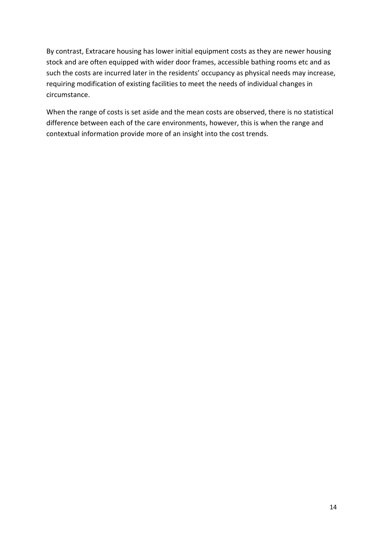By contrast, Extracare housing has lower initial equipment costs as they are newer housing stock and are often equipped with wider door frames, accessible bathing rooms etc and as such the costs are incurred later in the residents' occupancy as physical needs may increase, requiring modification of existing facilities to meet the needs of individual changes in circumstance.

When the range of costs is set aside and the mean costs are observed, there is no statistical difference between each of the care environments, however, this is when the range and contextual information provide more of an insight into the cost trends.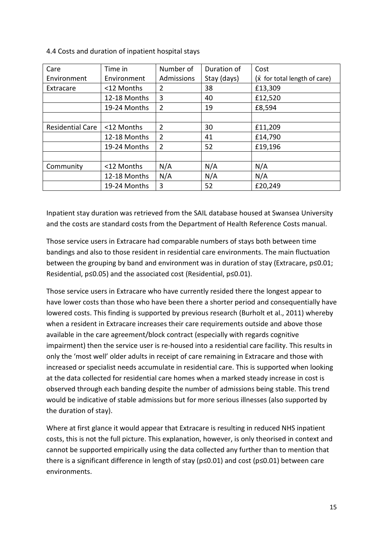Care Environment Time in Environment Number of Admissions Duration of Stay (days) Cost  $(\bar{x}$  for total length of care) Extracare  $\vert$  <12 Months  $\vert$  2  $\vert$  38  $\vert$  £13,309 12-18 Months 3 40 E12,520 19-24 Months  $\begin{vmatrix} 2 \\ 19 \end{vmatrix}$  19  $\begin{vmatrix} 18,594 \\ 19 \end{vmatrix}$ Residential Care  $\vert$  <12 Months  $\vert$  2  $\vert$  30  $\vert$  £11,209 12-18 Months 2 41 E14,790 19-24 Months 2 152 1619,196 Community  $\vert$  <12 Months  $\vert N/A \vert N/A \vert N/A$  N/A 12-18 Months  $N/A$  N/A  $N/A$  N/A 19-24 Months 3 19-24 Months 3 152 1520 1620,249

4.4 Costs and duration of inpatient hospital stays

Inpatient stay duration was retrieved from the SAIL database housed at Swansea University and the costs are standard costs from the Department of Health Reference Costs manual.

Those service users in Extracare had comparable numbers of stays both between time bandings and also to those resident in residential care environments. The main fluctuation between the grouping by band and environment was in duration of stay (Extracare, p≤0.01; Residential, p≤0.05) and the associated cost (Residential, p≤0.01).

Those service users in Extracare who have currently resided there the longest appear to have lower costs than those who have been there a shorter period and consequentially have lowered costs. This finding is supported by previous research (Burholt et al., 2011) whereby when a resident in Extracare increases their care requirements outside and above those available in the care agreement/block contract (especially with regards cognitive impairment) then the service user is re-housed into a residential care facility. This results in only the 'most well' older adults in receipt of care remaining in Extracare and those with increased or specialist needs accumulate in residential care. This is supported when looking at the data collected for residential care homes when a marked steady increase in cost is observed through each banding despite the number of admissions being stable. This trend would be indicative of stable admissions but for more serious illnesses (also supported by the duration of stay).

Where at first glance it would appear that Extracare is resulting in reduced NHS inpatient costs, this is not the full picture. This explanation, however, is only theorised in context and cannot be supported empirically using the data collected any further than to mention that there is a significant difference in length of stay (p≤0.01) and cost (p≤0.01) between care environments.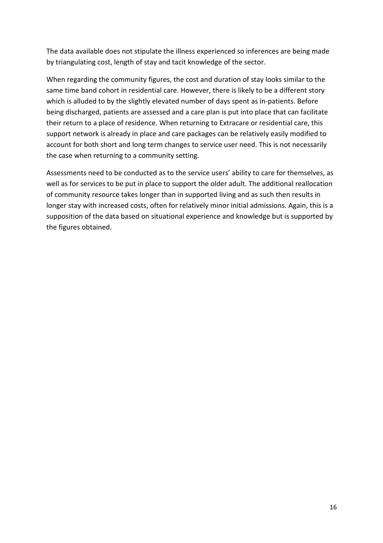The data available does not stipulate the illness experienced so inferences are being made by triangulating cost, length of stay and tacit knowledge of the sector.

When regarding the community figures, the cost and duration of stay looks similar to the same time band cohort in residential care. However, there is likely to be a different story which is alluded to by the slightly elevated number of days spent as in-patients. Before being discharged, patients are assessed and a care plan is put into place that can facilitate their return to a place of residence. When returning to Extracare or residential care, this support network is already in place and care packages can be relatively easily modified to account for both short and long term changes to service user need. This is not necessarily the case when returning to a community setting.

Assessments need to be conducted as to the service users' ability to care for themselves, as well as for services to be put in place to support the older adult. The additional reallocation of community resource takes longer than in supported living and as such then results in longer stay with increased costs, often for relatively minor initial admissions. Again, this is a supposition of the data based on situational experience and knowledge but is supported by the figures obtained.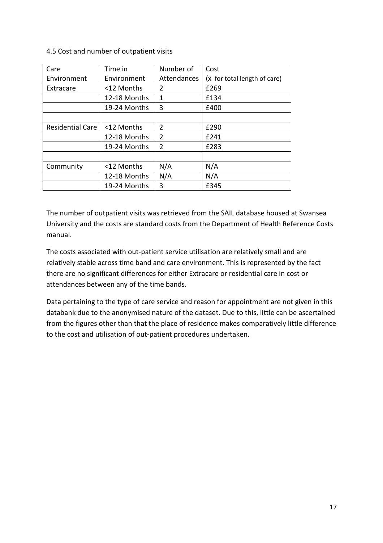4.5 Cost and number of outpatient visits

| Care                    | Time in      | Number of      | Cost                         |
|-------------------------|--------------|----------------|------------------------------|
| Environment             | Environment  | Attendances    | (x for total length of care) |
| Extracare               | <12 Months   | $\overline{2}$ | £269                         |
|                         | 12-18 Months | 1              | £134                         |
|                         | 19-24 Months | 3              | £400                         |
|                         |              |                |                              |
| <b>Residential Care</b> | <12 Months   | $\overline{2}$ | £290                         |
|                         | 12-18 Months | $\overline{2}$ | £241                         |
|                         | 19-24 Months | $\overline{2}$ | £283                         |
|                         |              |                |                              |
| Community               | <12 Months   | N/A            | N/A                          |
|                         | 12-18 Months | N/A            | N/A                          |
|                         | 19-24 Months | 3              | £345                         |

The number of outpatient visits was retrieved from the SAIL database housed at Swansea University and the costs are standard costs from the Department of Health Reference Costs manual.

The costs associated with out-patient service utilisation are relatively small and are relatively stable across time band and care environment. This is represented by the fact there are no significant differences for either Extracare or residential care in cost or attendances between any of the time bands.

Data pertaining to the type of care service and reason for appointment are not given in this databank due to the anonymised nature of the dataset. Due to this, little can be ascertained from the figures other than that the place of residence makes comparatively little difference to the cost and utilisation of out-patient procedures undertaken.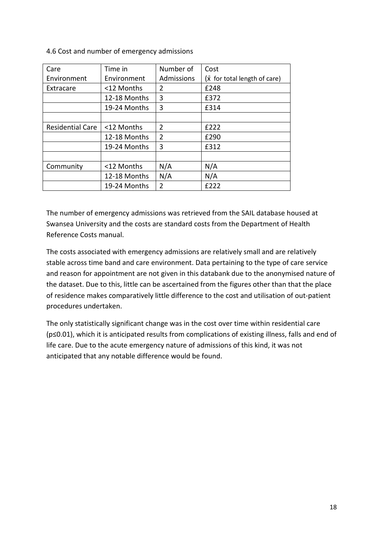4.6 Cost and number of emergency admissions

| Care                    | Time in      | Number of      | Cost                         |
|-------------------------|--------------|----------------|------------------------------|
| Environment             | Environment  | Admissions     | (x for total length of care) |
| Extracare               | <12 Months   | 2              | £248                         |
|                         | 12-18 Months | 3              | £372                         |
|                         | 19-24 Months | 3              | £314                         |
|                         |              |                |                              |
| <b>Residential Care</b> | <12 Months   | $\overline{2}$ | £222                         |
|                         | 12-18 Months | 2              | £290                         |
|                         | 19-24 Months | 3              | £312                         |
|                         |              |                |                              |
| Community               | <12 Months   | N/A            | N/A                          |
|                         | 12-18 Months | N/A            | N/A                          |
|                         | 19-24 Months | $\mathcal{P}$  | £222                         |

The number of emergency admissions was retrieved from the SAIL database housed at Swansea University and the costs are standard costs from the Department of Health Reference Costs manual.

The costs associated with emergency admissions are relatively small and are relatively stable across time band and care environment. Data pertaining to the type of care service and reason for appointment are not given in this databank due to the anonymised nature of the dataset. Due to this, little can be ascertained from the figures other than that the place of residence makes comparatively little difference to the cost and utilisation of out-patient procedures undertaken.

The only statistically significant change was in the cost over time within residential care (p≤0.01), which it is anticipated results from complications of existing illness, falls and end of life care. Due to the acute emergency nature of admissions of this kind, it was not anticipated that any notable difference would be found.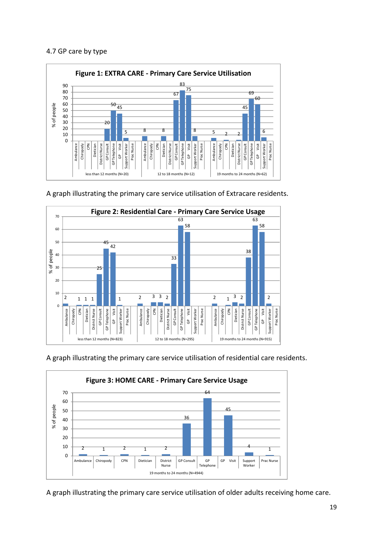#### 4.7 GP care by type



A graph illustrating the primary care service utilisation of Extracare residents.



A graph illustrating the primary care service utilisation of residential care residents.



A graph illustrating the primary care service utilisation of older adults receiving home care.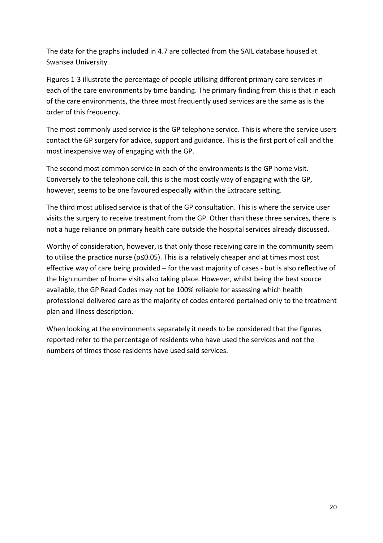The data for the graphs included in 4.7 are collected from the SAIL database housed at Swansea University.

Figures 1-3 illustrate the percentage of people utilising different primary care services in each of the care environments by time banding. The primary finding from this is that in each of the care environments, the three most frequently used services are the same as is the order of this frequency.

The most commonly used service is the GP telephone service. This is where the service users contact the GP surgery for advice, support and guidance. This is the first port of call and the most inexpensive way of engaging with the GP.

The second most common service in each of the environments is the GP home visit. Conversely to the telephone call, this is the most costly way of engaging with the GP, however, seems to be one favoured especially within the Extracare setting.

The third most utilised service is that of the GP consultation. This is where the service user visits the surgery to receive treatment from the GP. Other than these three services, there is not a huge reliance on primary health care outside the hospital services already discussed.

Worthy of consideration, however, is that only those receiving care in the community seem to utilise the practice nurse (p≤0.05). This is a relatively cheaper and at times most cost effective way of care being provided – for the vast majority of cases - but is also reflective of the high number of home visits also taking place. However, whilst being the best source available, the GP Read Codes may not be 100% reliable for assessing which health professional delivered care as the majority of codes entered pertained only to the treatment plan and illness description.

When looking at the environments separately it needs to be considered that the figures reported refer to the percentage of residents who have used the services and not the numbers of times those residents have used said services.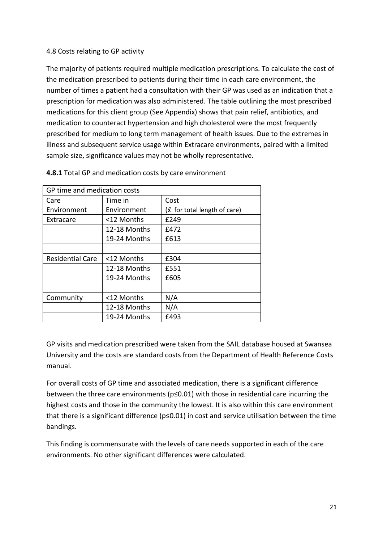## 4.8 Costs relating to GP activity

The majority of patients required multiple medication prescriptions. To calculate the cost of the medication prescribed to patients during their time in each care environment, the number of times a patient had a consultation with their GP was used as an indication that a prescription for medication was also administered. The table outlining the most prescribed medications for this client group (See Appendix) shows that pain relief, antibiotics, and medication to counteract hypertension and high cholesterol were the most frequently prescribed for medium to long term management of health issues. Due to the extremes in illness and subsequent service usage within Extracare environments, paired with a limited sample size, significance values may not be wholly representative.

| GP time and medication costs          |              |                                      |  |  |
|---------------------------------------|--------------|--------------------------------------|--|--|
| Time in<br>Care                       |              | Cost                                 |  |  |
| Environment                           | Environment  | $(\bar{x}$ for total length of care) |  |  |
| Extracare                             | <12 Months   | f249                                 |  |  |
|                                       | 12-18 Months | f472                                 |  |  |
|                                       | 19-24 Months | £613                                 |  |  |
|                                       |              |                                      |  |  |
| <b>Residential Care</b><br><12 Months |              | £304                                 |  |  |
|                                       | 12-18 Months | £551                                 |  |  |
|                                       | 19-24 Months | £605                                 |  |  |
|                                       |              |                                      |  |  |
| Community                             | <12 Months   | N/A                                  |  |  |
|                                       | 12-18 Months | N/A                                  |  |  |
|                                       | 19-24 Months | £493                                 |  |  |

4.8.1 Total GP and medication costs by care environment

GP visits and medication prescribed were taken from the SAIL database housed at Swansea University and the costs are standard costs from the Department of Health Reference Costs manual.

For overall costs of GP time and associated medication, there is a significant difference between the three care environments (p≤0.01) with those in residential care incurring the highest costs and those in the community the lowest. It is also within this care environment that there is a significant difference (p≤0.01) in cost and service utilisation between the time bandings.

This finding is commensurate with the levels of care needs supported in each of the care environments. No other significant differences were calculated.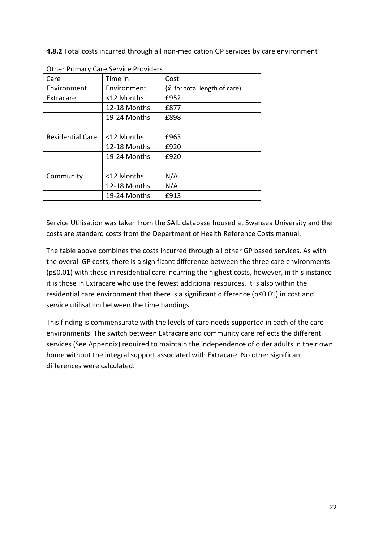| <b>Other Primary Care Service Providers</b> |              |                                      |  |  |
|---------------------------------------------|--------------|--------------------------------------|--|--|
| Care                                        | Time in      | Cost                                 |  |  |
| Environment                                 | Environment  | $(\bar{x}$ for total length of care) |  |  |
| Extracare                                   | <12 Months   | £952                                 |  |  |
|                                             | 12-18 Months | £877                                 |  |  |
|                                             | 19-24 Months | £898                                 |  |  |
|                                             |              |                                      |  |  |
| <b>Residential Care</b>                     | <12 Months   | £963                                 |  |  |
|                                             | 12-18 Months | £920                                 |  |  |
|                                             | 19-24 Months | £920                                 |  |  |
|                                             |              |                                      |  |  |
| Community                                   | <12 Months   | N/A                                  |  |  |
|                                             | 12-18 Months | N/A                                  |  |  |
|                                             | 19-24 Months | £913                                 |  |  |

4.8.2 Total costs incurred through all non-medication GP services by care environment

Service Utilisation was taken from the SAIL database housed at Swansea University and the costs are standard costs from the Department of Health Reference Costs manual.

The table above combines the costs incurred through all other GP based services. As with the overall GP costs, there is a significant difference between the three care environments (p≤0.01) with those in residential care incurring the highest costs, however, in this instance it is those in Extracare who use the fewest additional resources. It is also within the residential care environment that there is a significant difference (p≤0.01) in cost and service utilisation between the time bandings.

This finding is commensurate with the levels of care needs supported in each of the care environments. The switch between Extracare and community care reflects the different services (See Appendix) required to maintain the independence of older adults in their own home without the integral support associated with Extracare. No other significant differences were calculated.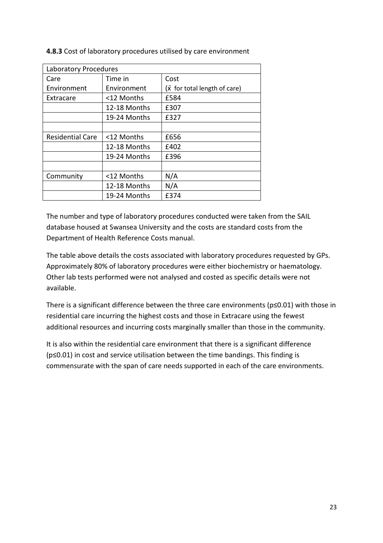| Laboratory Procedures   |              |                                      |  |
|-------------------------|--------------|--------------------------------------|--|
| Care                    | Time in      | Cost                                 |  |
| Environment             | Environment  | $(\bar{x}$ for total length of care) |  |
| Extracare               | <12 Months   | £584                                 |  |
|                         | 12-18 Months | £307                                 |  |
|                         | 19-24 Months | £327                                 |  |
|                         |              |                                      |  |
| <b>Residential Care</b> | <12 Months   | £656                                 |  |
|                         | 12-18 Months | £402                                 |  |
|                         | 19-24 Months | £396                                 |  |
|                         |              |                                      |  |
| Community               | <12 Months   | N/A                                  |  |
|                         | 12-18 Months | N/A                                  |  |
|                         | 19-24 Months | £374                                 |  |

4.8.3 Cost of laboratory procedures utilised by care environment

The number and type of laboratory procedures conducted were taken from the SAIL database housed at Swansea University and the costs are standard costs from the Department of Health Reference Costs manual.

The table above details the costs associated with laboratory procedures requested by GPs. Approximately 80% of laboratory procedures were either biochemistry or haematology. Other lab tests performed were not analysed and costed as specific details were not available.

There is a significant difference between the three care environments (p≤0.01) with those in residential care incurring the highest costs and those in Extracare using the fewest additional resources and incurring costs marginally smaller than those in the community.

It is also within the residential care environment that there is a significant difference (p≤0.01) in cost and service utilisation between the time bandings. This finding is commensurate with the span of care needs supported in each of the care environments.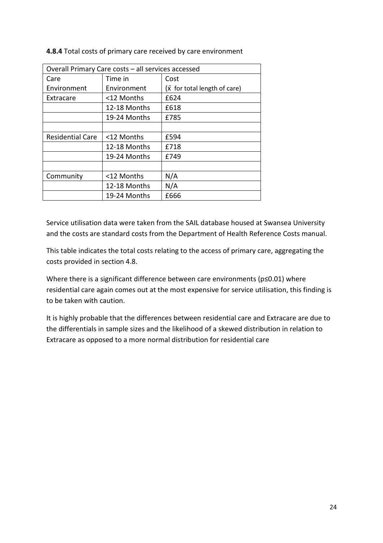| Overall Primary Care costs - all services accessed |              |                                      |  |
|----------------------------------------------------|--------------|--------------------------------------|--|
| Care                                               | Time in      | Cost                                 |  |
| Environment                                        | Environment  | $(\bar{x}$ for total length of care) |  |
| Extracare                                          | <12 Months   | £624                                 |  |
|                                                    | 12-18 Months | £618                                 |  |
|                                                    | 19-24 Months | £785                                 |  |
|                                                    |              |                                      |  |
| <b>Residential Care</b>                            | <12 Months   | £594                                 |  |
|                                                    | 12-18 Months | £718                                 |  |
| £749<br>19-24 Months                               |              |                                      |  |
|                                                    |              |                                      |  |
| Community                                          | <12 Months   | N/A                                  |  |
|                                                    | 12-18 Months | N/A                                  |  |
|                                                    | 19-24 Months | £666                                 |  |

4.8.4 Total costs of primary care received by care environment

Service utilisation data were taken from the SAIL database housed at Swansea University and the costs are standard costs from the Department of Health Reference Costs manual.

This table indicates the total costs relating to the access of primary care, aggregating the costs provided in section 4.8.

Where there is a significant difference between care environments (p≤0.01) where residential care again comes out at the most expensive for service utilisation, this finding is to be taken with caution.

It is highly probable that the differences between residential care and Extracare are due to the differentials in sample sizes and the likelihood of a skewed distribution in relation to Extracare as opposed to a more normal distribution for residential care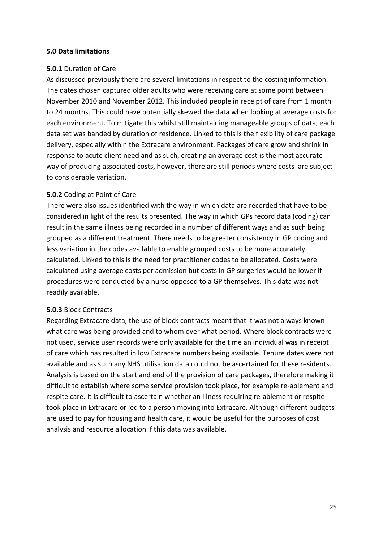#### 5.0 Data limitations

#### 5.0.1 Duration of Care

As discussed previously there are several limitations in respect to the costing information. The dates chosen captured older adults who were receiving care at some point between November 2010 and November 2012. This included people in receipt of care from 1 month to 24 months. This could have potentially skewed the data when looking at average costs for each environment. To mitigate this whilst still maintaining manageable groups of data, each data set was banded by duration of residence. Linked to this is the flexibility of care package delivery, especially within the Extracare environment. Packages of care grow and shrink in response to acute client need and as such, creating an average cost is the most accurate way of producing associated costs, however, there are still periods where costs are subject to considerable variation.

#### 5.0.2 Coding at Point of Care

There were also issues identified with the way in which data are recorded that have to be considered in light of the results presented. The way in which GPs record data (coding) can result in the same illness being recorded in a number of different ways and as such being grouped as a different treatment. There needs to be greater consistency in GP coding and less variation in the codes available to enable grouped costs to be more accurately calculated. Linked to this is the need for practitioner codes to be allocated. Costs were calculated using average costs per admission but costs in GP surgeries would be lower if procedures were conducted by a nurse opposed to a GP themselves. This data was not readily available.

#### 5.0.3 Block Contracts

Regarding Extracare data, the use of block contracts meant that it was not always known what care was being provided and to whom over what period. Where block contracts were not used, service user records were only available for the time an individual was in receipt of care which has resulted in low Extracare numbers being available. Tenure dates were not available and as such any NHS utilisation data could not be ascertained for these residents. Analysis is based on the start and end of the provision of care packages, therefore making it difficult to establish where some service provision took place, for example re-ablement and respite care. It is difficult to ascertain whether an illness requiring re-ablement or respite took place in Extracare or led to a person moving into Extracare. Although different budgets are used to pay for housing and health care, it would be useful for the purposes of cost analysis and resource allocation if this data was available.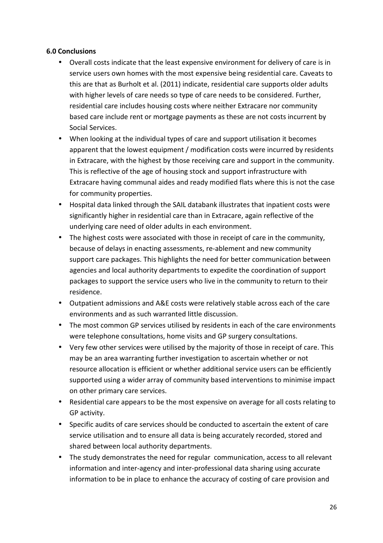#### 6.0 Conclusions

- Overall costs indicate that the least expensive environment for delivery of care is in service users own homes with the most expensive being residential care. Caveats to this are that as Burholt et al. (2011) indicate, residential care supports older adults with higher levels of care needs so type of care needs to be considered. Further, residential care includes housing costs where neither Extracare nor community based care include rent or mortgage payments as these are not costs incurrent by Social Services.
- When looking at the individual types of care and support utilisation it becomes apparent that the lowest equipment / modification costs were incurred by residents in Extracare, with the highest by those receiving care and support in the community. This is reflective of the age of housing stock and support infrastructure with Extracare having communal aides and ready modified flats where this is not the case for community properties.
- Hospital data linked through the SAIL databank illustrates that inpatient costs were significantly higher in residential care than in Extracare, again reflective of the underlying care need of older adults in each environment.
- The highest costs were associated with those in receipt of care in the community, because of delays in enacting assessments, re-ablement and new community support care packages. This highlights the need for better communication between agencies and local authority departments to expedite the coordination of support packages to support the service users who live in the community to return to their residence.
- Outpatient admissions and A&E costs were relatively stable across each of the care environments and as such warranted little discussion.
- The most common GP services utilised by residents in each of the care environments were telephone consultations, home visits and GP surgery consultations.
- Very few other services were utilised by the majority of those in receipt of care. This may be an area warranting further investigation to ascertain whether or not resource allocation is efficient or whether additional service users can be efficiently supported using a wider array of community based interventions to minimise impact on other primary care services.
- Residential care appears to be the most expensive on average for all costs relating to GP activity.
- Specific audits of care services should be conducted to ascertain the extent of care service utilisation and to ensure all data is being accurately recorded, stored and shared between local authority departments.
- The study demonstrates the need for regular communication, access to all relevant information and inter-agency and inter-professional data sharing using accurate information to be in place to enhance the accuracy of costing of care provision and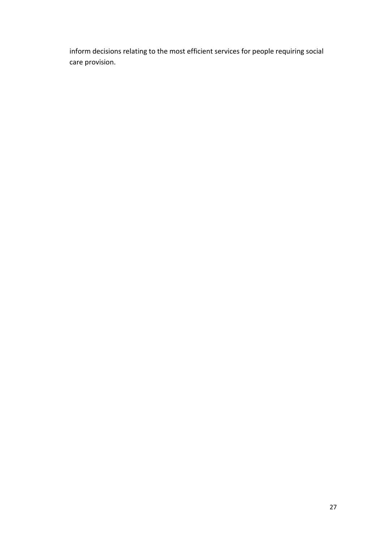inform decisions relating to the most efficient services for people requiring social care provision.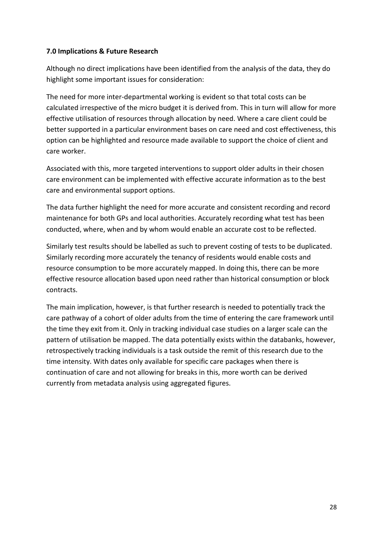#### 7.0 Implications & Future Research

Although no direct implications have been identified from the analysis of the data, they do highlight some important issues for consideration:

The need for more inter-departmental working is evident so that total costs can be calculated irrespective of the micro budget it is derived from. This in turn will allow for more effective utilisation of resources through allocation by need. Where a care client could be better supported in a particular environment bases on care need and cost effectiveness, this option can be highlighted and resource made available to support the choice of client and care worker.

Associated with this, more targeted interventions to support older adults in their chosen care environment can be implemented with effective accurate information as to the best care and environmental support options.

The data further highlight the need for more accurate and consistent recording and record maintenance for both GPs and local authorities. Accurately recording what test has been conducted, where, when and by whom would enable an accurate cost to be reflected.

Similarly test results should be labelled as such to prevent costing of tests to be duplicated. Similarly recording more accurately the tenancy of residents would enable costs and resource consumption to be more accurately mapped. In doing this, there can be more effective resource allocation based upon need rather than historical consumption or block contracts.

The main implication, however, is that further research is needed to potentially track the care pathway of a cohort of older adults from the time of entering the care framework until the time they exit from it. Only in tracking individual case studies on a larger scale can the pattern of utilisation be mapped. The data potentially exists within the databanks, however, retrospectively tracking individuals is a task outside the remit of this research due to the time intensity. With dates only available for specific care packages when there is continuation of care and not allowing for breaks in this, more worth can be derived currently from metadata analysis using aggregated figures.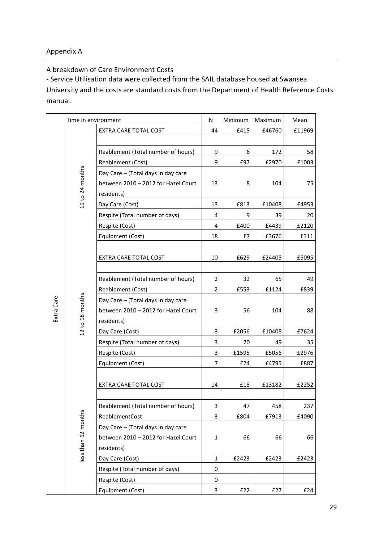## Appendix A

A breakdown of Care Environment Costs

- Service Utilisation data were collected from the SAIL database housed at Swansea University and the costs are standard costs from the Department of Health Reference Costs manual.

|            | Time in environment |                                     | N              | Minimum | Maximum | Mean   |
|------------|---------------------|-------------------------------------|----------------|---------|---------|--------|
|            |                     | EXTRA CARE TOTAL COST               | 44             | £415    | £46760  | £11969 |
|            |                     |                                     |                |         |         |        |
|            |                     | Reablement (Total number of hours)  | 9              | 6       | 172     | 58     |
|            |                     | Reablement (Cost)                   | 9              | £97     | £2970   | £1003  |
|            |                     | Day Care - (Total days in day care  |                |         |         |        |
|            |                     | between 2010 - 2012 for Hazel Court | 13             | 8       | 104     | 75     |
|            | 19 to 24 months     | residents)                          |                |         |         |        |
|            |                     | Day Care (Cost)                     | 13             | £813    | £10408  | £4953  |
|            |                     | Respite (Total number of days)      | 4              | 9       | 39      | 20     |
|            |                     | Respite (Cost)                      | 4              | £400    | £4439   | £2120  |
|            |                     | Equipment (Cost)                    | 18             | £7      | £3676   | £311   |
|            |                     |                                     |                |         |         |        |
|            |                     | EXTRA CARE TOTAL COST               | 10             | £629    | £24405  | £5095  |
|            |                     |                                     |                |         |         |        |
|            |                     | Reablement (Total number of hours)  | $\overline{2}$ | 32      | 65      | 49     |
|            |                     | Reablement (Cost)                   | $\overline{2}$ | £553    | £1124   | £839   |
|            | 12 to 18 months     | Day Care - (Total days in day care  |                |         |         |        |
| Extra Care |                     | between 2010 - 2012 for Hazel Court | 3              | 56      | 104     | 88     |
|            |                     | residents)                          |                |         |         |        |
|            |                     | Day Care (Cost)                     | 3              | £2056   | £10408  | £7624  |
|            |                     | Respite (Total number of days)      | 3              | 20      | 49      | 35     |
|            |                     | Respite (Cost)                      | 3              | £1595   | £5056   | £2976  |
|            |                     | Equipment (Cost)                    | $\overline{7}$ | £24     | £4795   | £887   |
|            |                     |                                     |                |         |         |        |
|            |                     | EXTRA CARE TOTAL COST               | 14             | £18     | £13182  | £2252  |
|            |                     |                                     |                |         |         |        |
|            |                     | Reablement (Total number of hours)  | 3              | 47      | 458     | 237    |
|            |                     | ReablementCost                      | 3              | £804    | £7913   | £4090  |
|            | less than 12 months | Day Care - (Total days in day care  |                |         |         |        |
|            |                     | between 2010 - 2012 for Hazel Court | $\mathbf{1}$   | 66      | 66      | 66     |
|            |                     | residents)                          |                |         |         |        |
|            |                     | Day Care (Cost)                     | $\mathbf{1}$   | £2423   | £2423   | £2423  |
|            |                     | Respite (Total number of days)      | 0              |         |         |        |
|            |                     | Respite (Cost)                      | 0              |         |         |        |
|            |                     | Equipment (Cost)                    | $\mathbf{3}$   | £22     | £27     | £24    |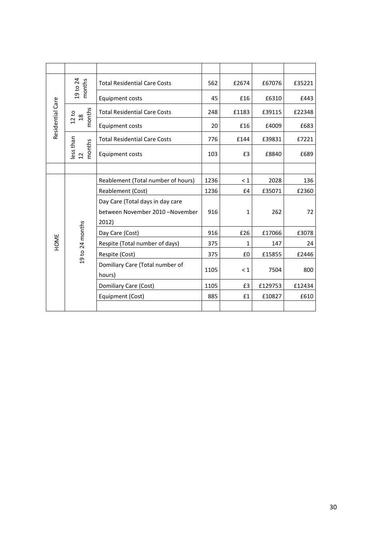| Residential Care | 19 to 24<br>months                   | <b>Total Residential Care Costs</b>                                          | 562  | £2674    | £67076  | £35221 |
|------------------|--------------------------------------|------------------------------------------------------------------------------|------|----------|---------|--------|
|                  |                                      | <b>Equipment costs</b>                                                       | 45   | £16      | £6310   | £443   |
|                  | months<br>$\frac{8}{10}$             | <b>Total Residential Care Costs</b>                                          | 248  | £1183    | £39115  | £22348 |
|                  | 12 to                                | <b>Equipment costs</b>                                                       | 20   | £16      | £4009   | £683   |
|                  | ess than<br>nonths<br>$\overline{c}$ | <b>Total Residential Care Costs</b>                                          | 776  | £144     | £39831  | £7221  |
|                  |                                      | <b>Equipment costs</b>                                                       | 103  | £3       | £8840   | £689   |
|                  |                                      |                                                                              |      |          |         |        |
|                  |                                      | Reablement (Total number of hours)                                           | 1236 | $\leq 1$ | 2028    | 136    |
|                  |                                      | Reablement (Cost)                                                            | 1236 | £4       | £35071  | £2360  |
|                  |                                      | Day Care (Total days in day care<br>between November 2010 -November<br>2012) | 916  | 1        | 262     | 72     |
|                  |                                      | Day Care (Cost)                                                              | 916  | £26      | £17066  | £3078  |
| HOME             |                                      | Respite (Total number of days)                                               | 375  | 1        | 147     | 24     |
|                  | 19 to 24 months                      | Respite (Cost)                                                               | 375  | £0       | £15855  | £2446  |
|                  |                                      | Domiliary Care (Total number of<br>hours)                                    | 1105 | $\leq 1$ | 7504    | 800    |
|                  |                                      | Domiliary Care (Cost)                                                        | 1105 | £3       | £129753 | £12434 |
|                  |                                      | Equipment (Cost)                                                             | 885  | £1       | £10827  | £610   |
|                  |                                      |                                                                              |      |          |         |        |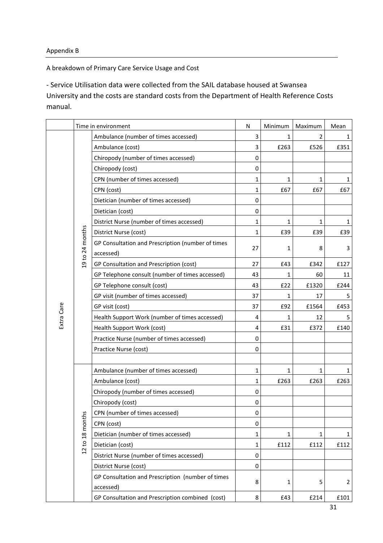## Appendix B

A breakdown of Primary Care Service Usage and Cost

- Service Utilisation data were collected from the SAIL database housed at Swansea University and the costs are standard costs from the Department of Health Reference Costs

manual.

|            | Time in environment |                                                   | N                | Minimum      | Maximum        | Mean           |
|------------|---------------------|---------------------------------------------------|------------------|--------------|----------------|----------------|
|            |                     | Ambulance (number of times accessed)              | 3                | 1            | $\overline{2}$ | 1              |
|            |                     | Ambulance (cost)                                  | 3                | £263         | £526           | £351           |
|            |                     | Chiropody (number of times accessed)              | $\mathbf 0$      |              |                |                |
|            |                     | Chiropody (cost)                                  | 0                |              |                |                |
|            |                     | CPN (number of times accessed)                    | 1                | 1            | $\mathbf{1}$   | 1              |
|            |                     | CPN (cost)                                        | 1                | £67          | £67            | £67            |
|            |                     | Dietician (number of times accessed)              | $\bf{0}$         |              |                |                |
|            |                     | Dietician (cost)                                  | $\mathbf 0$      |              |                |                |
|            |                     | District Nurse (number of times accessed)         | 1                | 1            | $\mathbf{1}$   | 1              |
|            |                     | District Nurse (cost)                             | 1                | £39          | £39            | £39            |
|            |                     | GP Consultation and Prescription (number of times |                  |              |                |                |
|            | 19 to 24 months     | accessed)                                         | 27               | 1            | 8              | 3              |
|            |                     | GP Consultation and Prescription (cost)           | 27               | £43          | £342           | £127           |
|            |                     | GP Telephone consult (number of times accessed)   | 43               | 1            | 60             | 11             |
|            |                     | GP Telephone consult (cost)                       | 43               | £22          | £1320          | £244           |
|            |                     | GP visit (number of times accessed)               | 37               | 1            | 17             | 5              |
|            |                     | GP visit (cost)                                   | 37               | £92          | £1564          | £453           |
| Extra Care |                     | Health Support Work (number of times accessed)    | 4                | 1            | 12             |                |
|            |                     | Health Support Work (cost)                        | 4                | £31          | £372           | £140           |
|            |                     | Practice Nurse (number of times accessed)         | 0                |              |                |                |
|            |                     | Practice Nurse (cost)                             | $\mathbf 0$      |              |                |                |
|            |                     |                                                   |                  |              |                |                |
|            |                     | Ambulance (number of times accessed)              | 1                | 1            | 1              | 1              |
|            |                     | Ambulance (cost)                                  | 1                | £263         | £263           | £263           |
|            |                     | Chiropody (number of times accessed)              | $\boldsymbol{0}$ |              |                |                |
|            |                     | Chiropody (cost)                                  | 0                |              |                |                |
|            |                     | CPN (number of times accessed)                    | $\pmb{0}$        |              |                |                |
|            |                     | CPN (cost)                                        | 0                |              |                |                |
|            | 12 to 18 months     | Dietician (number of times accessed)              | 1                | $\mathbf{1}$ | $\mathbf{1}$   | 1              |
|            |                     | Dietician (cost)                                  | 1                | £112         | £112           | £112           |
|            |                     | District Nurse (number of times accessed)         | $\mathbf 0$      |              |                |                |
|            |                     | District Nurse (cost)                             | $\mathbf 0$      |              |                |                |
|            |                     | GP Consultation and Prescription (number of times |                  |              |                |                |
|            |                     | accessed)                                         | 8                | 1            | 5              | $\overline{2}$ |
|            |                     | GP Consultation and Prescription combined (cost)  | 8                | £43          | £214           | £101           |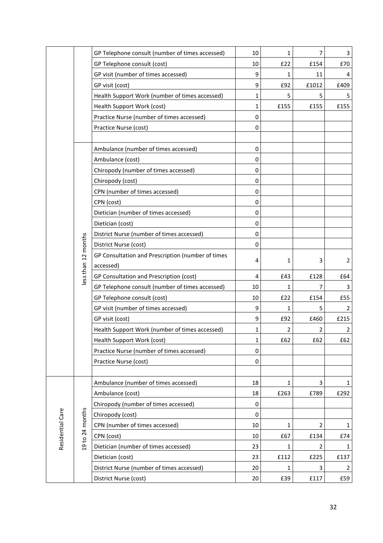|                  |                    | GP Telephone consult (number of times accessed)   | 10           | 1    | $\overline{7}$ | 3              |
|------------------|--------------------|---------------------------------------------------|--------------|------|----------------|----------------|
|                  |                    | GP Telephone consult (cost)                       | 10           | E22  | £154           | £70            |
|                  |                    | GP visit (number of times accessed)               | 9            | 1    | 11             |                |
|                  |                    | GP visit (cost)                                   | 9            | £92  | £1012          | £409           |
|                  |                    | Health Support Work (number of times accessed)    | 1            | 5    | 5              |                |
|                  |                    | Health Support Work (cost)                        | 1            | £155 | £155           | £155           |
|                  |                    | Practice Nurse (number of times accessed)         | 0            |      |                |                |
|                  |                    | Practice Nurse (cost)                             | 0            |      |                |                |
|                  |                    |                                                   |              |      |                |                |
|                  |                    | Ambulance (number of times accessed)              | 0            |      |                |                |
|                  |                    | Ambulance (cost)                                  | 0            |      |                |                |
|                  |                    | Chiropody (number of times accessed)              | $\mathbf 0$  |      |                |                |
|                  |                    | Chiropody (cost)                                  | 0            |      |                |                |
|                  |                    | CPN (number of times accessed)                    | 0            |      |                |                |
|                  |                    | CPN (cost)                                        | 0            |      |                |                |
|                  |                    | Dietician (number of times accessed)              | 0            |      |                |                |
|                  |                    | Dietician (cost)                                  | 0            |      |                |                |
|                  |                    | District Nurse (number of times accessed)         | 0            |      |                |                |
|                  | ess than 12 months | District Nurse (cost)                             | 0            |      |                |                |
|                  |                    | GP Consultation and Prescription (number of times |              |      |                |                |
|                  |                    | accessed)                                         | 4            | 1    | 3              | $\overline{2}$ |
|                  |                    | GP Consultation and Prescription (cost)           | 4            | £43  | £128           | £64            |
|                  |                    | GP Telephone consult (number of times accessed)   | 10           | 1    | 7              | 3              |
|                  |                    | GP Telephone consult (cost)                       | 10           | £22  | £154           | £55            |
|                  |                    | GP visit (number of times accessed)               | 9            | 1    | 5              | 2              |
|                  |                    | GP visit (cost)                                   | 9            | £92  | £460           | £215           |
|                  |                    | Health Support Work (number of times accessed)    | 1            | 2    | 2              | 2              |
|                  |                    | Health Support Work (cost)                        | $\mathbf{1}$ | £62  | £62            | £62            |
|                  |                    | Practice Nurse (number of times accessed)         | 0            |      |                |                |
|                  |                    | Practice Nurse (cost)                             | 0            |      |                |                |
|                  |                    |                                                   |              |      |                |                |
|                  | 9 to 24 months     | Ambulance (number of times accessed)              | 18           | 1    | 3              | 1              |
|                  |                    | Ambulance (cost)                                  | 18           | £263 | £789           | £292           |
|                  |                    | Chiropody (number of times accessed)              | 0            |      |                |                |
|                  |                    | Chiropody (cost)                                  | 0            |      |                |                |
| Residential Care |                    | CPN (number of times accessed)                    | 10           | 1    | $\overline{2}$ | 1              |
|                  |                    | CPN (cost)                                        | 10           | £67  | £134           | £74            |
|                  |                    | Dietician (number of times accessed)              | 23           | 1    | $\overline{2}$ | 1              |
|                  |                    | Dietician (cost)                                  | 23           | £112 | £225           | £137           |
|                  |                    | District Nurse (number of times accessed)         | 20           | 1    | 3              | 2              |
|                  |                    | District Nurse (cost)                             | 20           | £39  | £117           | £59            |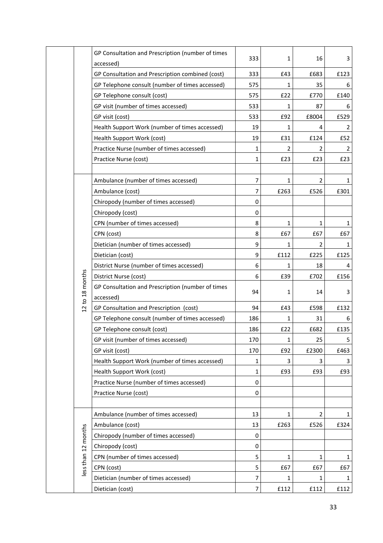|  |                     | GP Consultation and Prescription (number of times<br>accessed) | 333            | 1            | 16    | 3            |
|--|---------------------|----------------------------------------------------------------|----------------|--------------|-------|--------------|
|  |                     | GP Consultation and Prescription combined (cost)               | 333            | £43          | £683  | £123         |
|  |                     | GP Telephone consult (number of times accessed)                | 575            | $\mathbf{1}$ | 35    | 6            |
|  |                     | GP Telephone consult (cost)                                    | 575            | E22          | £770  | £140         |
|  |                     | GP visit (number of times accessed)                            | 533            | 1            | 87    | 6            |
|  |                     | GP visit (cost)                                                | 533            | £92          | £8004 | £529         |
|  |                     | Health Support Work (number of times accessed)                 | 19             | 1            |       | 2            |
|  |                     | Health Support Work (cost)                                     | 19             | £31          | £124  | £52          |
|  |                     | Practice Nurse (number of times accessed)                      | 1              | 2            | 2     | 2            |
|  |                     | Practice Nurse (cost)                                          | 1              | £23          | £23   | £23          |
|  |                     |                                                                |                |              |       |              |
|  |                     | Ambulance (number of times accessed)                           | 7              | 1            | 2     | 1            |
|  |                     | Ambulance (cost)                                               | $\overline{7}$ | £263         | £526  | £301         |
|  |                     | Chiropody (number of times accessed)                           | 0              |              |       |              |
|  |                     | Chiropody (cost)                                               | 0              |              |       |              |
|  |                     | CPN (number of times accessed)                                 | 8              | 1            | 1     | $\mathbf{1}$ |
|  |                     | CPN (cost)                                                     | 8              | £67          | £67   | £67          |
|  |                     | Dietician (number of times accessed)                           | 9              | 1            | 2     | 1            |
|  |                     | Dietician (cost)                                               | 9              | £112         | £225  | £125         |
|  |                     | District Nurse (number of times accessed)                      | 6              | $\mathbf{1}$ | 18    | 4            |
|  |                     | District Nurse (cost)                                          | 6              | £39          | £702  | £156         |
|  | to 18 months        | GP Consultation and Prescription (number of times              | 94             | 1            | 14    | 3            |
|  |                     | accessed)                                                      |                |              |       |              |
|  | $\overline{a}$      | GP Consultation and Prescription (cost)                        | 94             | £43          | £598  | £132         |
|  |                     | GP Telephone consult (number of times accessed)                | 186            | 1            | 31    | 6            |
|  |                     | GP Telephone consult (cost)                                    | 186            | £22          | £682  | £135         |
|  |                     | GP visit (number of times accessed)                            | 170            | 1            | 25    | 5            |
|  |                     | GP visit (cost)                                                | 170            | £92          | £2300 | £463         |
|  |                     | Health Support Work (number of times accessed)                 | 1              | 3            | 3     | 3            |
|  |                     | Health Support Work (cost)                                     | 1              | £93          | £93   | £93          |
|  |                     | Practice Nurse (number of times accessed)                      | 0              |              |       |              |
|  |                     | Practice Nurse (cost)                                          | 0              |              |       |              |
|  |                     |                                                                |                |              |       |              |
|  |                     | Ambulance (number of times accessed)                           | 13             | 1            | 2     | 1            |
|  |                     | Ambulance (cost)                                               | 13             | £263         | £526  | £324         |
|  | less than 12 months | Chiropody (number of times accessed)                           | 0              |              |       |              |
|  |                     | Chiropody (cost)                                               | 0              |              |       |              |
|  |                     | CPN (number of times accessed)                                 | 5              | 1            | 1     | 1            |
|  |                     | CPN (cost)                                                     | 5              | £67          | £67   | £67          |
|  |                     | Dietician (number of times accessed)                           | 7              | $\mathbf{1}$ | 1     | 1            |
|  |                     | Dietician (cost)                                               | 7              | £112         | £112  | £112         |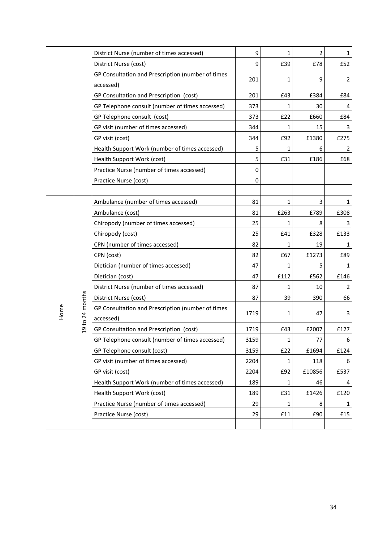|      |                                | District Nurse (number of times accessed)         | 9           | 1    | $\overline{2}$ | $\mathbf{1}$   |
|------|--------------------------------|---------------------------------------------------|-------------|------|----------------|----------------|
|      |                                | District Nurse (cost)                             | 9           | £39  | £78            | £52            |
|      |                                | GP Consultation and Prescription (number of times |             |      |                |                |
|      |                                | accessed)                                         | 201         | 1    | 9              | $\overline{2}$ |
|      |                                | GP Consultation and Prescription (cost)           | 201         | £43  | £384           | £84            |
|      |                                | GP Telephone consult (number of times accessed)   | 373         | 1    | 30             | 4              |
|      |                                | GP Telephone consult (cost)                       | 373         | £22  | £660           | £84            |
|      |                                | GP visit (number of times accessed)               | 344         | 1    | 15             | 3              |
|      |                                | GP visit (cost)                                   | 344         | £92  | £1380          | £275           |
|      |                                | Health Support Work (number of times accessed)    | 5           | 1    | 6              | 2              |
|      |                                | Health Support Work (cost)                        | 5           | £31  | £186           | £68            |
|      |                                | Practice Nurse (number of times accessed)         | $\mathbf 0$ |      |                |                |
|      |                                | Practice Nurse (cost)                             | 0           |      |                |                |
|      |                                |                                                   |             |      |                |                |
|      |                                | Ambulance (number of times accessed)              | 81          | 1    | 3              | 1              |
|      |                                | Ambulance (cost)                                  | 81          | £263 | £789           | £308           |
|      |                                | Chiropody (number of times accessed)              | 25          | 1    | 8              | 3              |
|      |                                | Chiropody (cost)                                  | 25          | £41  | £328           | £133           |
|      |                                | CPN (number of times accessed)                    | 82          | 1    | 19             | 1.             |
|      |                                | CPN (cost)                                        | 82          | £67  | £1273          | £89            |
|      |                                | Dietician (number of times accessed)              | 47          | 1    | 5              | 1              |
|      | to 24 months<br>$\overline{c}$ | Dietician (cost)                                  | 47          | £112 | £562           | £146           |
|      |                                | District Nurse (number of times accessed)         | 87          | 1    | 10             | 2              |
|      |                                | District Nurse (cost)                             | 87          | 39   | 390            | 66             |
| Home |                                | GP Consultation and Prescription (number of times | 1719        | 1    | 47             | 3              |
|      |                                | accessed)                                         |             |      |                |                |
|      |                                | GP Consultation and Prescription (cost)           | 1719        | £43  | £2007          | £127           |
|      |                                | GP Telephone consult (number of times accessed)   | 3159        | 1    | 77             | 6              |
|      |                                | GP Telephone consult (cost)                       | 3159        | £22  | £1694          | £124           |
|      |                                | GP visit (number of times accessed)               | 2204        | 1    | 118            | 6              |
|      |                                | GP visit (cost)                                   | 2204        | £92  | £10856         | £537           |
|      |                                | Health Support Work (number of times accessed)    | 189         | 1    | 46             | 4              |
|      |                                | Health Support Work (cost)                        | 189         | £31  | £1426          | £120           |
|      |                                | Practice Nurse (number of times accessed)         | 29          | 1    | 8              | 1              |
|      |                                | Practice Nurse (cost)                             | 29          | £11  | £90            | £15            |
|      |                                |                                                   |             |      |                |                |